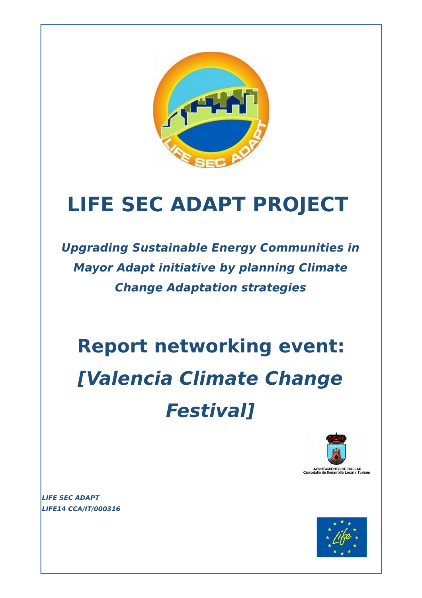

## **LIFE SEC ADAPT PROJECT**

**Upgrading Sustainable Energy Communities in Mayor Adapt initiative by planning Climate Change Adaptation strategies**

# **Report networking event: [Valencia Climate Change Festival]**



**LIFE SEC ADAPT LIFE14 CCA/IT/000316** 

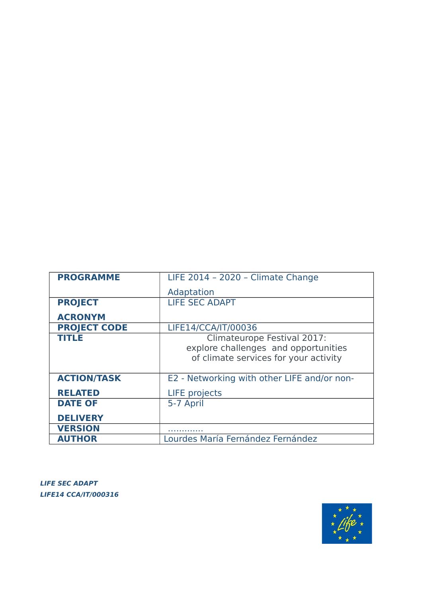| <b>PROGRAMME</b>    | LIFE 2014 - 2020 - Climate Change                                                                            |
|---------------------|--------------------------------------------------------------------------------------------------------------|
|                     | Adaptation                                                                                                   |
| <b>PROJECT</b>      | <b>LIFE SEC ADAPT</b>                                                                                        |
| <b>ACRONYM</b>      |                                                                                                              |
| <b>PROJECT CODE</b> | LIFE14/CCA/IT/00036                                                                                          |
| <b>TITLE</b>        | Climateurope Festival 2017:<br>explore challenges and opportunities<br>of climate services for your activity |
| <b>ACTION/TASK</b>  | E2 - Networking with other LIFE and/or non-                                                                  |
| <b>RELATED</b>      | <b>LIFE</b> projects                                                                                         |
| <b>DATE OF</b>      | 5-7 April                                                                                                    |
| <b>DELIVERY</b>     |                                                                                                              |
| <b>VERSION</b>      |                                                                                                              |
| <b>AUTHOR</b>       | Lourdes María Fernández Fernández                                                                            |

**LIFE SEC ADAPT LIFE14 CCA/IT/000316** 

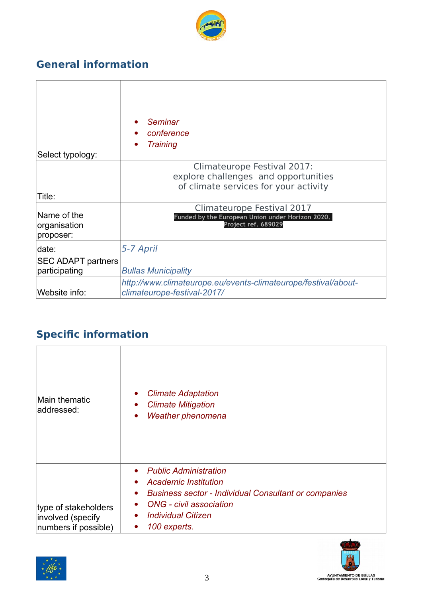

## **General information**

 $\overline{\Gamma}$ 

| Select typology:                           | Seminar<br>conference<br><b>Training</b><br>$\bullet$                                                        |
|--------------------------------------------|--------------------------------------------------------------------------------------------------------------|
| Title:                                     | Climateurope Festival 2017:<br>explore challenges and opportunities<br>of climate services for your activity |
| Name of the<br>organisation<br>proposer:   | Climateurope Festival 2017<br>Funded by the European Union under Horizon 2020.<br>Project ref. 689029        |
| date:                                      | 5-7 April                                                                                                    |
| <b>SEC ADAPT partners</b><br>participating | <b>Bullas Municipality</b>                                                                                   |
| Website info:                              | http://www.climateurope.eu/events-climateurope/festival/about-<br>climateurope-festival-2017/                |

## **Specific information**

| Main thematic<br>addressed:                                       | <b>Climate Adaptation</b><br>$\bullet$<br><b>Climate Mitigation</b><br>$\bullet$<br>Weather phenomena<br>$\bullet$                                                                                                                                                    |
|-------------------------------------------------------------------|-----------------------------------------------------------------------------------------------------------------------------------------------------------------------------------------------------------------------------------------------------------------------|
| type of stakeholders<br>involved (specify<br>numbers if possible) | <b>Public Administration</b><br>$\bullet$<br>• Academic Institution<br><b>Business sector - Individual Consultant or companies</b><br>$\bullet$<br><b>ONG</b> - civil association<br>$\bullet$<br><b>Individual Citizen</b><br>$\bullet$<br>100 experts.<br>$\bullet$ |